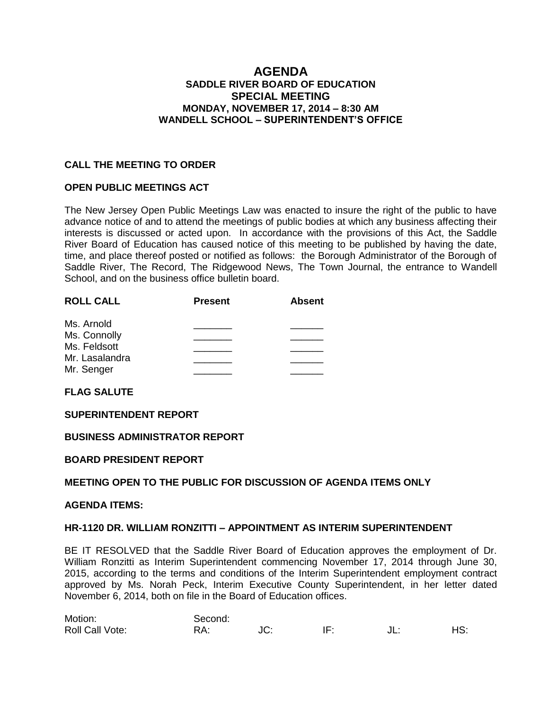# **AGENDA SADDLE RIVER BOARD OF EDUCATION SPECIAL MEETING MONDAY, NOVEMBER 17, 2014 – 8:30 AM WANDELL SCHOOL – SUPERINTENDENT'S OFFICE**

## **CALL THE MEETING TO ORDER**

## **OPEN PUBLIC MEETINGS ACT**

The New Jersey Open Public Meetings Law was enacted to insure the right of the public to have advance notice of and to attend the meetings of public bodies at which any business affecting their interests is discussed or acted upon. In accordance with the provisions of this Act, the Saddle River Board of Education has caused notice of this meeting to be published by having the date, time, and place thereof posted or notified as follows: the Borough Administrator of the Borough of Saddle River, The Record, The Ridgewood News, The Town Journal, the entrance to Wandell School, and on the business office bulletin board.

| <b>ROLL CALL</b> | <b>Present</b> | <b>Absent</b> |  |
|------------------|----------------|---------------|--|
| Ms. Arnold       |                |               |  |
| Ms. Connolly     |                |               |  |
| Ms. Feldsott     |                |               |  |
| Mr. Lasalandra   |                |               |  |
| Mr. Senger       |                |               |  |

**FLAG SALUTE**

#### **SUPERINTENDENT REPORT**

#### **BUSINESS ADMINISTRATOR REPORT**

#### **BOARD PRESIDENT REPORT**

#### **MEETING OPEN TO THE PUBLIC FOR DISCUSSION OF AGENDA ITEMS ONLY**

#### **AGENDA ITEMS:**

#### **HR-1120 DR. WILLIAM RONZITTI – APPOINTMENT AS INTERIM SUPERINTENDENT**

BE IT RESOLVED that the Saddle River Board of Education approves the employment of Dr. William Ronzitti as Interim Superintendent commencing November 17, 2014 through June 30, 2015, according to the terms and conditions of the Interim Superintendent employment contract approved by Ms. Norah Peck, Interim Executive County Superintendent, in her letter dated November 6, 2014, both on file in the Board of Education offices.

| Motion:         | Second: |     |     |     |     |
|-----------------|---------|-----|-----|-----|-----|
| Roll Call Vote: | DΔ.     | JC. | IF: | JL. | HS: |